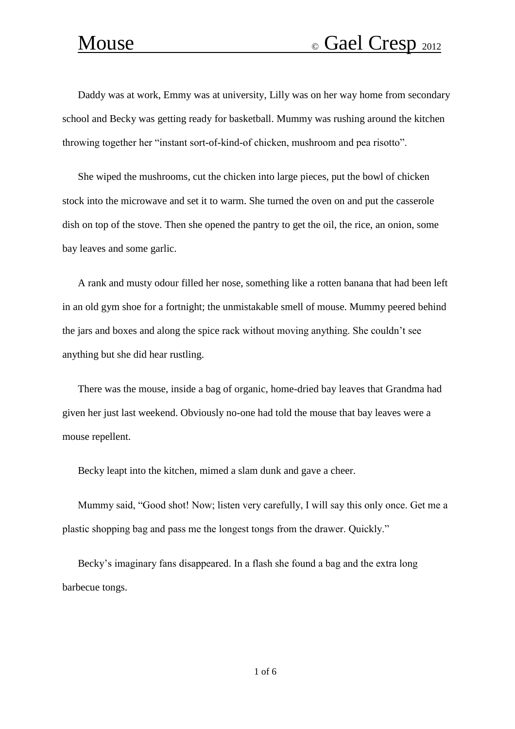Daddy was at work, Emmy was at university, Lilly was on her way home from secondary school and Becky was getting ready for basketball. Mummy was rushing around the kitchen throwing together her "instant sort-of-kind-of chicken, mushroom and pea risotto".

She wiped the mushrooms, cut the chicken into large pieces, put the bowl of chicken stock into the microwave and set it to warm. She turned the oven on and put the casserole dish on top of the stove. Then she opened the pantry to get the oil, the rice, an onion, some bay leaves and some garlic.

A rank and musty odour filled her nose, something like a rotten banana that had been left in an old gym shoe for a fortnight; the unmistakable smell of mouse. Mummy peered behind the jars and boxes and along the spice rack without moving anything. She couldn't see anything but she did hear rustling.

There was the mouse, inside a bag of organic, home-dried bay leaves that Grandma had given her just last weekend. Obviously no-one had told the mouse that bay leaves were a mouse repellent.

Becky leapt into the kitchen, mimed a slam dunk and gave a cheer.

Mummy said, "Good shot! Now; listen very carefully, I will say this only once. Get me a plastic shopping bag and pass me the longest tongs from the drawer. Quickly."

Becky's imaginary fans disappeared. In a flash she found a bag and the extra long barbecue tongs.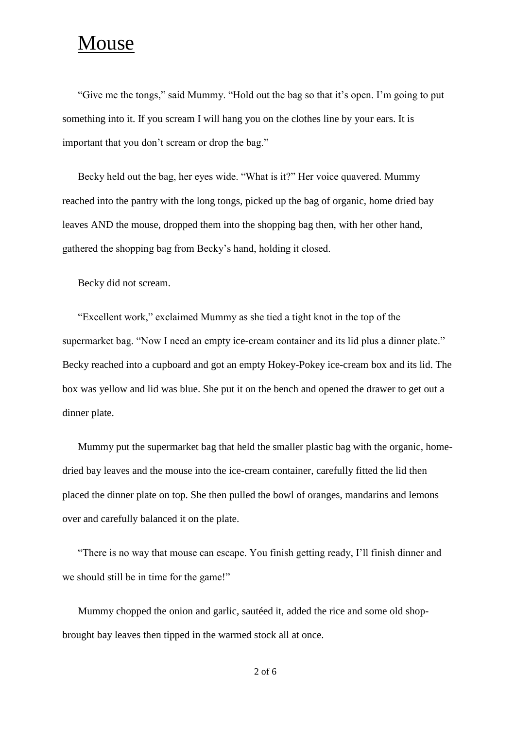## Mouse

"Give me the tongs," said Mummy. "Hold out the bag so that it's open. I'm going to put something into it. If you scream I will hang you on the clothes line by your ears. It is important that you don't scream or drop the bag."

Becky held out the bag, her eyes wide. "What is it?" Her voice quavered. Mummy reached into the pantry with the long tongs, picked up the bag of organic, home dried bay leaves AND the mouse, dropped them into the shopping bag then, with her other hand, gathered the shopping bag from Becky's hand, holding it closed.

Becky did not scream.

"Excellent work," exclaimed Mummy as she tied a tight knot in the top of the supermarket bag. "Now I need an empty ice-cream container and its lid plus a dinner plate." Becky reached into a cupboard and got an empty Hokey-Pokey ice-cream box and its lid. The box was yellow and lid was blue. She put it on the bench and opened the drawer to get out a dinner plate.

Mummy put the supermarket bag that held the smaller plastic bag with the organic, homedried bay leaves and the mouse into the ice-cream container, carefully fitted the lid then placed the dinner plate on top. She then pulled the bowl of oranges, mandarins and lemons over and carefully balanced it on the plate.

"There is no way that mouse can escape. You finish getting ready, I'll finish dinner and we should still be in time for the game!"

Mummy chopped the onion and garlic, sautéed it, added the rice and some old shopbrought bay leaves then tipped in the warmed stock all at once.

2 of 6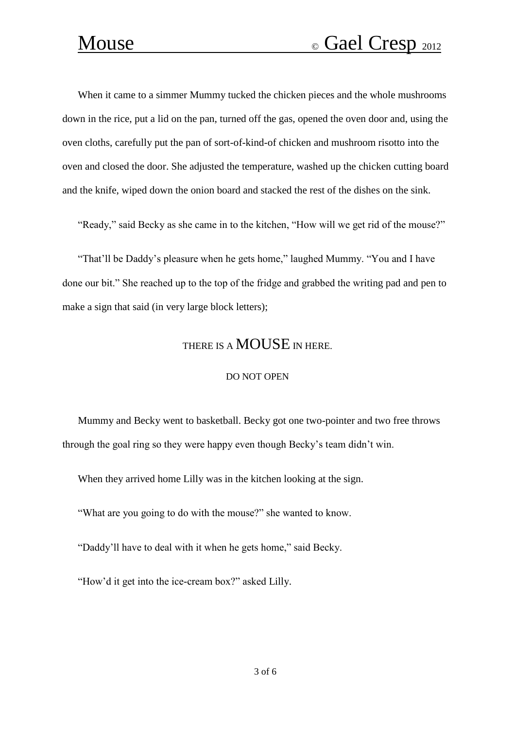When it came to a simmer Mummy tucked the chicken pieces and the whole mushrooms down in the rice, put a lid on the pan, turned off the gas, opened the oven door and, using the oven cloths, carefully put the pan of sort-of-kind-of chicken and mushroom risotto into the oven and closed the door. She adjusted the temperature, washed up the chicken cutting board and the knife, wiped down the onion board and stacked the rest of the dishes on the sink.

"Ready," said Becky as she came in to the kitchen, "How will we get rid of the mouse?"

"That'll be Daddy's pleasure when he gets home," laughed Mummy. "You and I have done our bit." She reached up to the top of the fridge and grabbed the writing pad and pen to make a sign that said (in very large block letters);

### THERE IS A **MOUSE** IN HERE.

### DO NOT OPEN

Mummy and Becky went to basketball. Becky got one two-pointer and two free throws through the goal ring so they were happy even though Becky's team didn't win.

When they arrived home Lilly was in the kitchen looking at the sign.

"What are you going to do with the mouse?" she wanted to know.

"Daddy'll have to deal with it when he gets home," said Becky.

"How'd it get into the ice-cream box?" asked Lilly.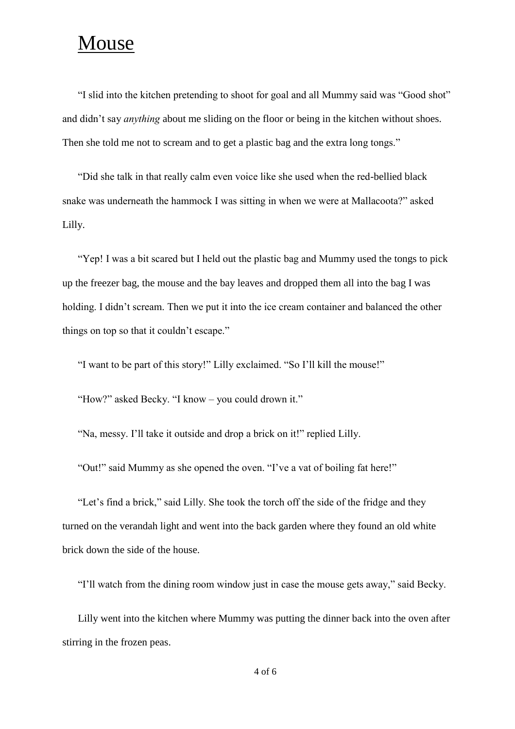### Mouse

"I slid into the kitchen pretending to shoot for goal and all Mummy said was "Good shot" and didn't say *anything* about me sliding on the floor or being in the kitchen without shoes. Then she told me not to scream and to get a plastic bag and the extra long tongs."

"Did she talk in that really calm even voice like she used when the red-bellied black snake was underneath the hammock I was sitting in when we were at Mallacoota?" asked Lilly.

"Yep! I was a bit scared but I held out the plastic bag and Mummy used the tongs to pick up the freezer bag, the mouse and the bay leaves and dropped them all into the bag I was holding. I didn't scream. Then we put it into the ice cream container and balanced the other things on top so that it couldn't escape."

"I want to be part of this story!" Lilly exclaimed. "So I'll kill the mouse!"

"How?" asked Becky. "I know – you could drown it."

"Na, messy. I'll take it outside and drop a brick on it!" replied Lilly.

"Out!" said Mummy as she opened the oven. "I've a vat of boiling fat here!"

"Let's find a brick," said Lilly. She took the torch off the side of the fridge and they turned on the verandah light and went into the back garden where they found an old white brick down the side of the house.

"I'll watch from the dining room window just in case the mouse gets away," said Becky.

Lilly went into the kitchen where Mummy was putting the dinner back into the oven after stirring in the frozen peas.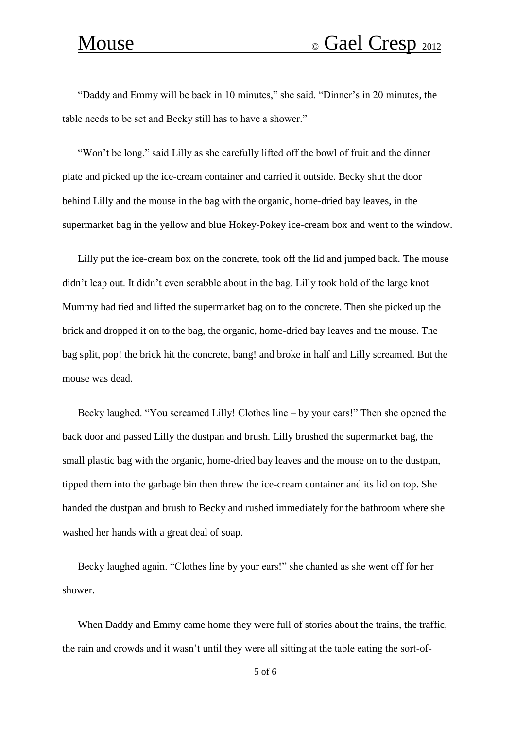"Daddy and Emmy will be back in 10 minutes," she said. "Dinner's in 20 minutes, the table needs to be set and Becky still has to have a shower."

"Won't be long," said Lilly as she carefully lifted off the bowl of fruit and the dinner plate and picked up the ice-cream container and carried it outside. Becky shut the door behind Lilly and the mouse in the bag with the organic, home-dried bay leaves, in the supermarket bag in the yellow and blue Hokey-Pokey ice-cream box and went to the window.

Lilly put the ice-cream box on the concrete, took off the lid and jumped back. The mouse didn't leap out. It didn't even scrabble about in the bag. Lilly took hold of the large knot Mummy had tied and lifted the supermarket bag on to the concrete. Then she picked up the brick and dropped it on to the bag, the organic, home-dried bay leaves and the mouse. The bag split, pop! the brick hit the concrete, bang! and broke in half and Lilly screamed. But the mouse was dead.

Becky laughed. "You screamed Lilly! Clothes line – by your ears!" Then she opened the back door and passed Lilly the dustpan and brush. Lilly brushed the supermarket bag, the small plastic bag with the organic, home-dried bay leaves and the mouse on to the dustpan, tipped them into the garbage bin then threw the ice-cream container and its lid on top. She handed the dustpan and brush to Becky and rushed immediately for the bathroom where she washed her hands with a great deal of soap.

Becky laughed again. "Clothes line by your ears!" she chanted as she went off for her shower.

When Daddy and Emmy came home they were full of stories about the trains, the traffic, the rain and crowds and it wasn't until they were all sitting at the table eating the sort-of-

5 of 6